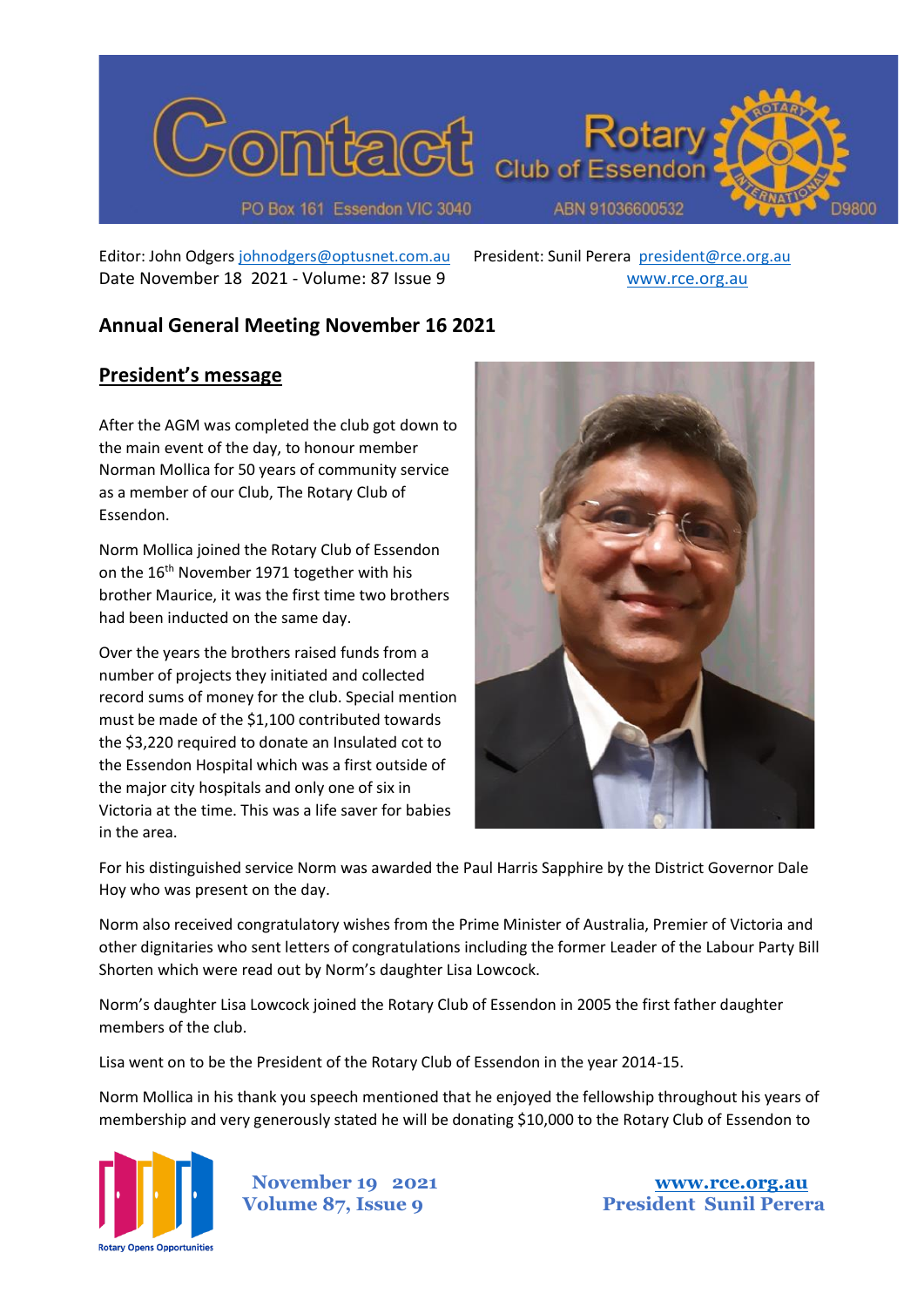

Editor: John Odgers [johnodgers@optusnet.com.au](mailto:johnodgers@optusnet.com.au) President: Sunil Perera [president@rce.org.au](mailto:president@rce.org.au) Date November 18 2021 - Volume: 87 Issue 9 [www.rce.org.au](http://www.rce.org.au/)

# **Annual General Meeting November 16 2021**

## **President's message**

After the AGM was completed the club got down to the main event of the day, to honour member Norman Mollica for 50 years of community service as a member of our Club, The Rotary Club of Essendon.

Norm Mollica joined the Rotary Club of Essendon on the 16<sup>th</sup> November 1971 together with his brother Maurice, it was the first time two brothers had been inducted on the same day.

Over the years the brothers raised funds from a number of projects they initiated and collected record sums of money for the club. Special mention must be made of the \$1,100 contributed towards the \$3,220 required to donate an Insulated cot to the Essendon Hospital which was a first outside of the major city hospitals and only one of six in Victoria at the time. This was a life saver for babies in the area.



For his distinguished service Norm was awarded the Paul Harris Sapphire by the District Governor Dale Hoy who was present on the day.

Norm also received congratulatory wishes from the Prime Minister of Australia, Premier of Victoria and other dignitaries who sent letters of congratulations including the former Leader of the Labour Party Bill Shorten which were read out by Norm's daughter Lisa Lowcock.

Norm's daughter Lisa Lowcock joined the Rotary Club of Essendon in 2005 the first father daughter members of the club.

Lisa went on to be the President of the Rotary Club of Essendon in the year 2014-15.

Norm Mollica in his thank you speech mentioned that he enjoyed the fellowship throughout his years of membership and very generously stated he will be donating \$10,000 to the Rotary Club of Essendon to

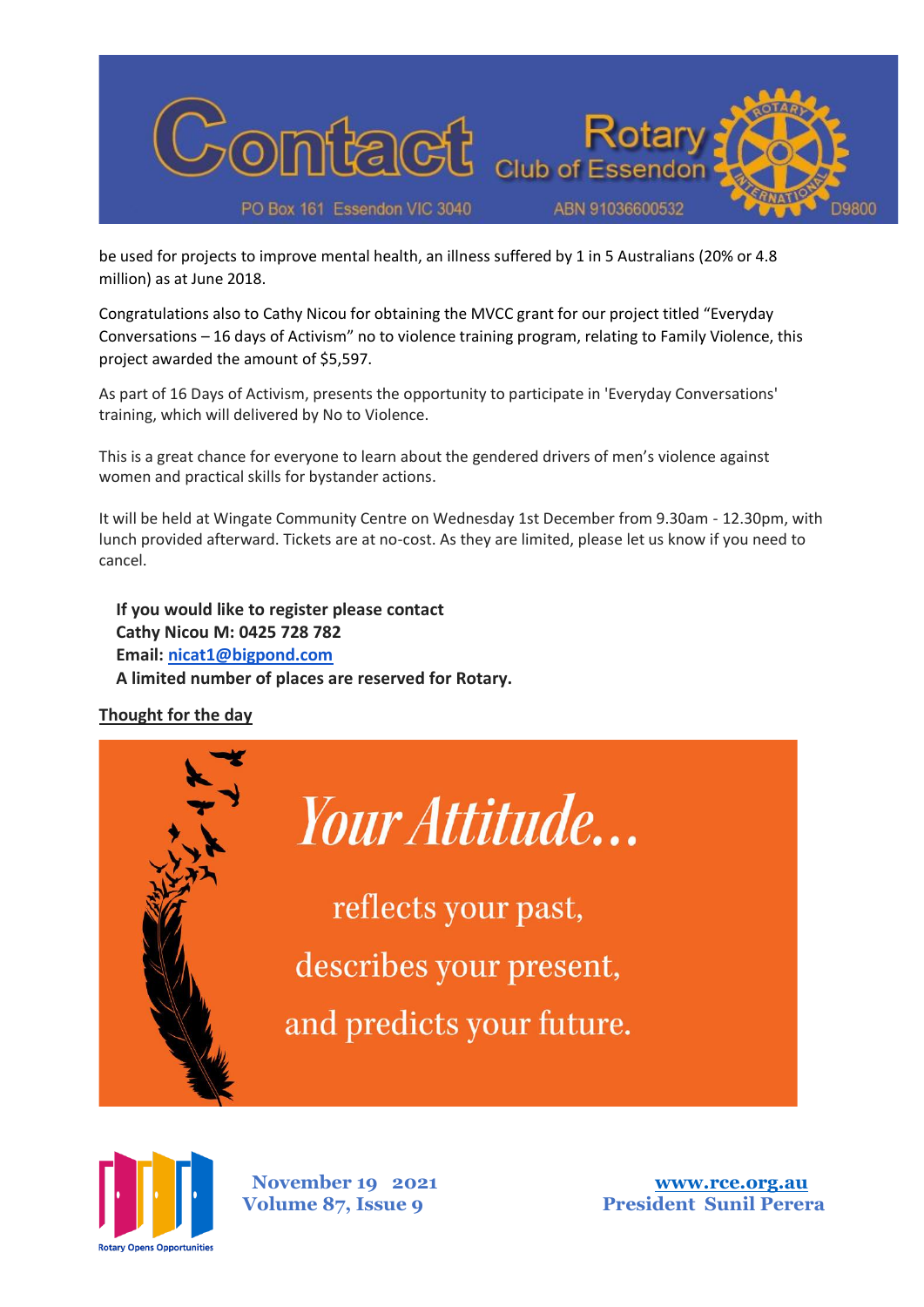

be used for projects to improve mental health, an illness suffered by 1 in 5 Australians (20% or 4.8 million) as at June 2018.

Congratulations also to Cathy Nicou for obtaining the MVCC grant for our project titled "Everyday Conversations – 16 days of Activism" no to violence training program, relating to Family Violence, this project awarded the amount of \$5,597.

As part of 16 Days of Activism, presents the opportunity to participate in 'Everyday Conversations' training, which will delivered by No to Violence.

This is a great chance for everyone to learn about the gendered drivers of men's violence against women and practical skills for bystander actions.

It will be held at Wingate Community Centre on Wednesday 1st December from 9.30am - 12.30pm, with lunch provided afterward. Tickets are at no-cost. As they are limited, please let us know if you need to cancel.

**If you would like to register please contact Cathy Nicou M: 0425 728 782 Email: [nicat1@bigpond.com](mailto:nicat1@bigpond.com) A limited number of places are reserved for Rotary.**

#### **Thought for the day**



reflects your past, describes your present, and predicts your future.

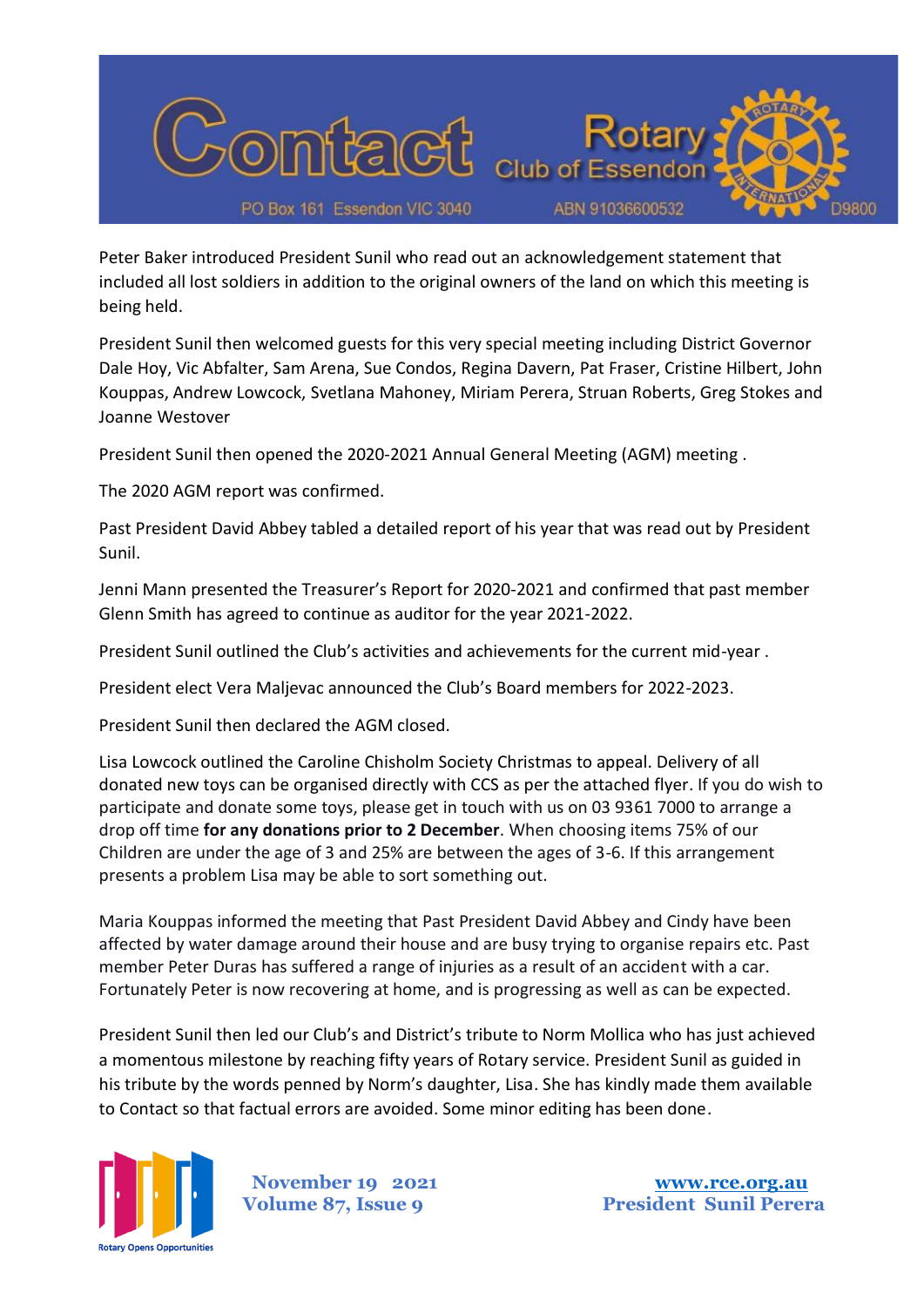

Peter Baker introduced President Sunil who read out an acknowledgement statement that included all lost soldiers in addition to the original owners of the land on which this meeting is being held.

President Sunil then welcomed guests for this very special meeting including District Governor Dale Hoy, Vic Abfalter, Sam Arena, Sue Condos, Regina Davern, Pat Fraser, Cristine Hilbert, John Kouppas, Andrew Lowcock, Svetlana Mahoney, Miriam Perera, Struan Roberts, Greg Stokes and Joanne Westover

President Sunil then opened the 2020-2021 Annual General Meeting (AGM) meeting .

The 2020 AGM report was confirmed.

Past President David Abbey tabled a detailed report of his year that was read out by President Sunil.

Jenni Mann presented the Treasurer's Report for 2020-2021 and confirmed that past member Glenn Smith has agreed to continue as auditor for the year 2021-2022.

President Sunil outlined the Club's activities and achievements for the current mid-year .

President elect Vera Maljevac announced the Club's Board members for 2022-2023.

President Sunil then declared the AGM closed.

Lisa Lowcock outlined the Caroline Chisholm Society Christmas to appeal. Delivery of all donated new toys can be organised directly with CCS as per the attached flyer. If you do wish to participate and donate some toys, please get in touch with us on 03 9361 7000 to arrange a drop off time **for any donations prior to 2 December**. When choosing items 75% of our Children are under the age of 3 and 25% are between the ages of 3-6. If this arrangement presents a problem Lisa may be able to sort something out.

Maria Kouppas informed the meeting that Past President David Abbey and Cindy have been affected by water damage around their house and are busy trying to organise repairs etc. Past member Peter Duras has suffered a range of injuries as a result of an accident with a car. Fortunately Peter is now recovering at home, and is progressing as well as can be expected.

President Sunil then led our Club's and District's tribute to Norm Mollica who has just achieved a momentous milestone by reaching fifty years of Rotary service. President Sunil as guided in his tribute by the words penned by Norm's daughter, Lisa. She has kindly made them available to Contact so that factual errors are avoided. Some minor editing has been done.

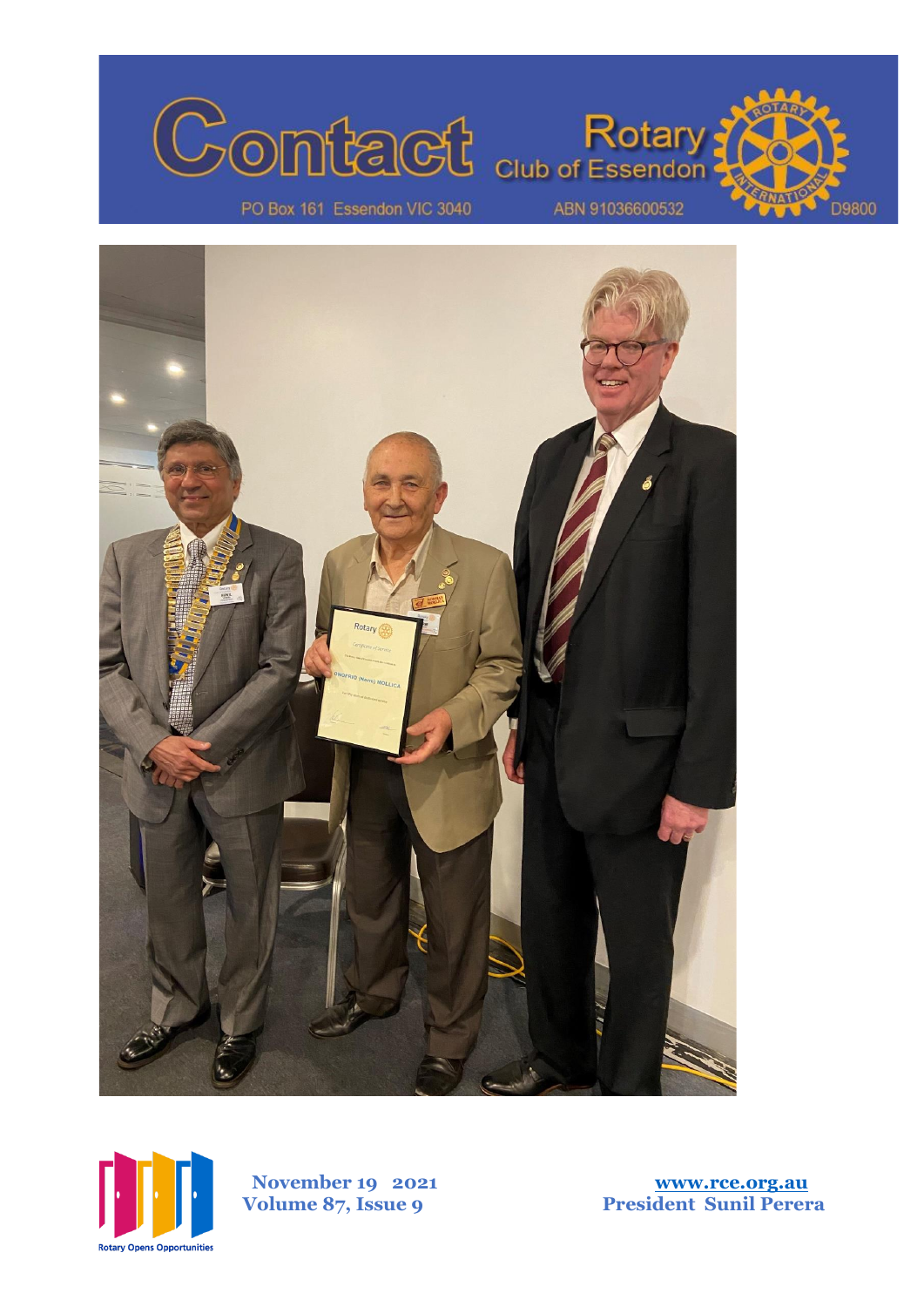





 **November 1 Volume 87, Issue** 

**9 2021 [www.rce.org.au](http://www.rce.org.au/) 9 President Sunil Perera**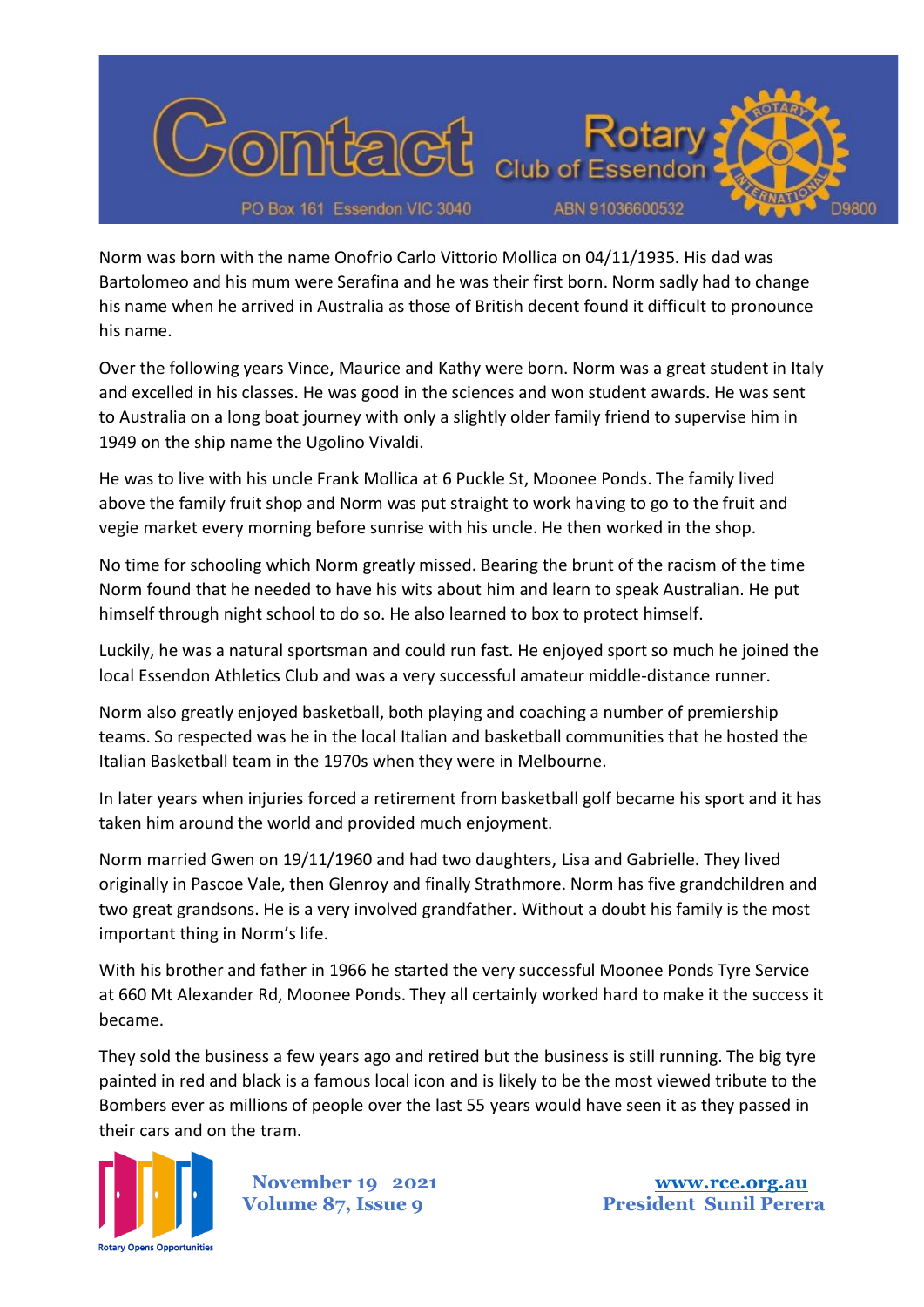

Norm was born with the name Onofrio Carlo Vittorio Mollica on 04/11/1935. His dad was Bartolomeo and his mum were Serafina and he was their first born. Norm sadly had to change his name when he arrived in Australia as those of British decent found it difficult to pronounce his name.

Over the following years Vince, Maurice and Kathy were born. Norm was a great student in Italy and excelled in his classes. He was good in the sciences and won student awards. He was sent to Australia on a long boat journey with only a slightly older family friend to supervise him in 1949 on the ship name the Ugolino Vivaldi.

He was to live with his uncle Frank Mollica at 6 Puckle St, Moonee Ponds. The family lived above the family fruit shop and Norm was put straight to work having to go to the fruit and vegie market every morning before sunrise with his uncle. He then worked in the shop.

No time for schooling which Norm greatly missed. Bearing the brunt of the racism of the time Norm found that he needed to have his wits about him and learn to speak Australian. He put himself through night school to do so. He also learned to box to protect himself.

Luckily, he was a natural sportsman and could run fast. He enjoyed sport so much he joined the local Essendon Athletics Club and was a very successful amateur middle-distance runner.

Norm also greatly enjoyed basketball, both playing and coaching a number of premiership teams. So respected was he in the local Italian and basketball communities that he hosted the Italian Basketball team in the 1970s when they were in Melbourne.

In later years when injuries forced a retirement from basketball golf became his sport and it has taken him around the world and provided much enjoyment.

Norm married Gwen on 19/11/1960 and had two daughters, Lisa and Gabrielle. They lived originally in Pascoe Vale, then Glenroy and finally Strathmore. Norm has five grandchildren and two great grandsons. He is a very involved grandfather. Without a doubt his family is the most important thing in Norm's life.

With his brother and father in 1966 he started the very successful Moonee Ponds Tyre Service at 660 Mt Alexander Rd, Moonee Ponds. They all certainly worked hard to make it the success it became.

They sold the business a few years ago and retired but the business is still running. The big tyre painted in red and black is a famous local icon and is likely to be the most viewed tribute to the Bombers ever as millions of people over the last 55 years would have seen it as they passed in their cars and on the tram.

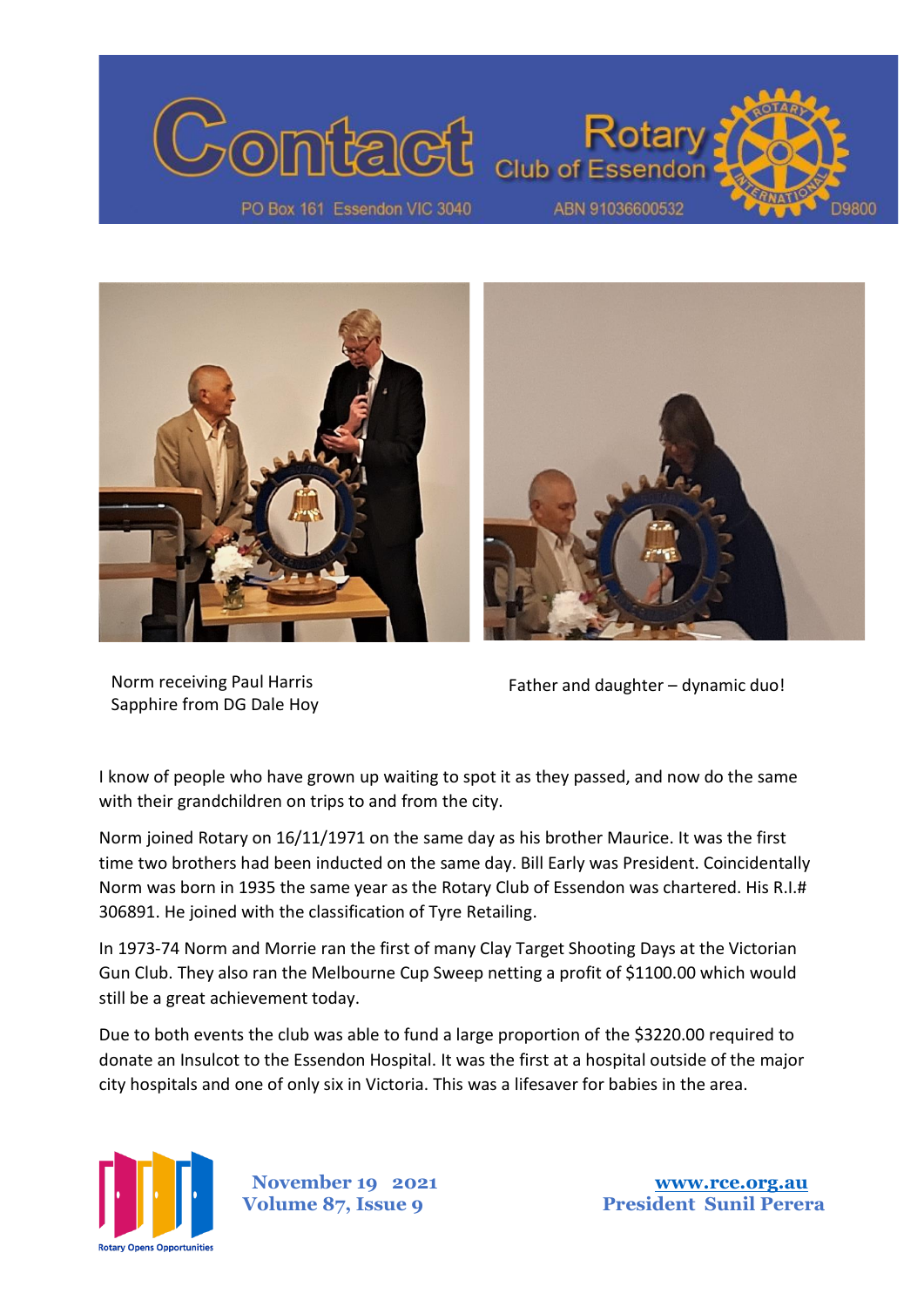



Norm receiving Paul Harris Sapphire from DG Dale Hoy

Father and daughter – dynamic duo!

I know of people who have grown up waiting to spot it as they passed, and now do the same with their grandchildren on trips to and from the city.

Norm joined Rotary on 16/11/1971 on the same day as his brother Maurice. It was the first time two brothers had been inducted on the same day. Bill Early was President. Coincidentally Norm was born in 1935 the same year as the Rotary Club of Essendon was chartered. His R.I.# 306891. He joined with the classification of Tyre Retailing.

In 1973-74 Norm and Morrie ran the first of many Clay Target Shooting Days at the Victorian Gun Club. They also ran the Melbourne Cup Sweep netting a profit of \$1100.00 which would still be a great achievement today.

Due to both events the club was able to fund a large proportion of the \$3220.00 required to donate an Insulcot to the Essendon Hospital. It was the first at a hospital outside of the major city hospitals and one of only six in Victoria. This was a lifesaver for babies in the area.



 **November 19 2021 [www.rce.org.au](http://www.rce.org.au/)**

**Volume 87, Issue 9 President Sunil Perera**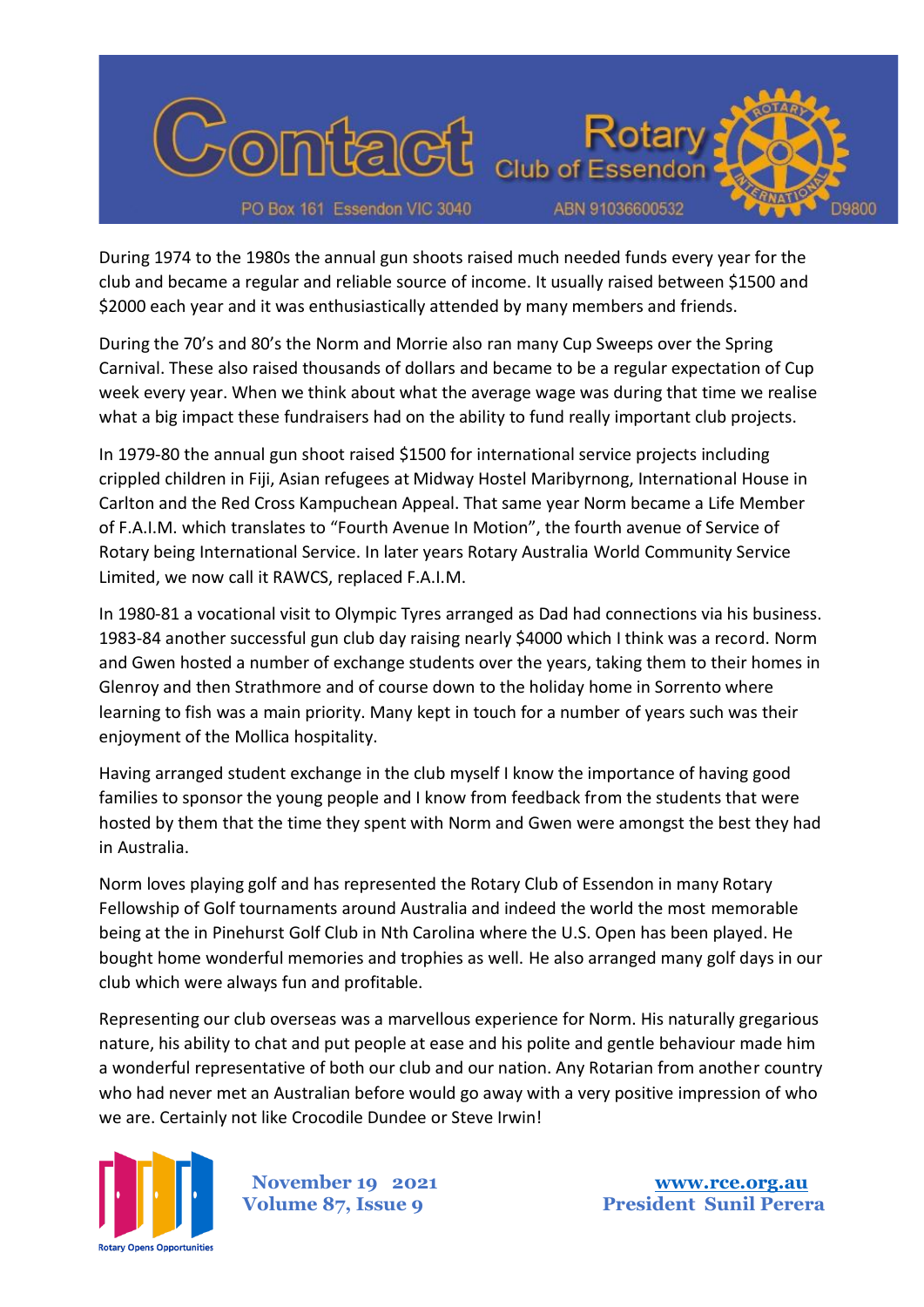

During 1974 to the 1980s the annual gun shoots raised much needed funds every year for the club and became a regular and reliable source of income. It usually raised between \$1500 and \$2000 each year and it was enthusiastically attended by many members and friends.

During the 70's and 80's the Norm and Morrie also ran many Cup Sweeps over the Spring Carnival. These also raised thousands of dollars and became to be a regular expectation of Cup week every year. When we think about what the average wage was during that time we realise what a big impact these fundraisers had on the ability to fund really important club projects.

In 1979-80 the annual gun shoot raised \$1500 for international service projects including crippled children in Fiji, Asian refugees at Midway Hostel Maribyrnong, International House in Carlton and the Red Cross Kampuchean Appeal. That same year Norm became a Life Member of F.A.I.M. which translates to "Fourth Avenue In Motion", the fourth avenue of Service of Rotary being International Service. In later years Rotary Australia World Community Service Limited, we now call it RAWCS, replaced F.A.I.M.

In 1980-81 a vocational visit to Olympic Tyres arranged as Dad had connections via his business. 1983-84 another successful gun club day raising nearly \$4000 which I think was a record. Norm and Gwen hosted a number of exchange students over the years, taking them to their homes in Glenroy and then Strathmore and of course down to the holiday home in Sorrento where learning to fish was a main priority. Many kept in touch for a number of years such was their enjoyment of the Mollica hospitality.

Having arranged student exchange in the club myself I know the importance of having good families to sponsor the young people and I know from feedback from the students that were hosted by them that the time they spent with Norm and Gwen were amongst the best they had in Australia.

Norm loves playing golf and has represented the Rotary Club of Essendon in many Rotary Fellowship of Golf tournaments around Australia and indeed the world the most memorable being at the in Pinehurst Golf Club in Nth Carolina where the U.S. Open has been played. He bought home wonderful memories and trophies as well. He also arranged many golf days in our club which were always fun and profitable.

Representing our club overseas was a marvellous experience for Norm. His naturally gregarious nature, his ability to chat and put people at ease and his polite and gentle behaviour made him a wonderful representative of both our club and our nation. Any Rotarian from another country who had never met an Australian before would go away with a very positive impression of who we are. Certainly not like Crocodile Dundee or Steve Irwin!

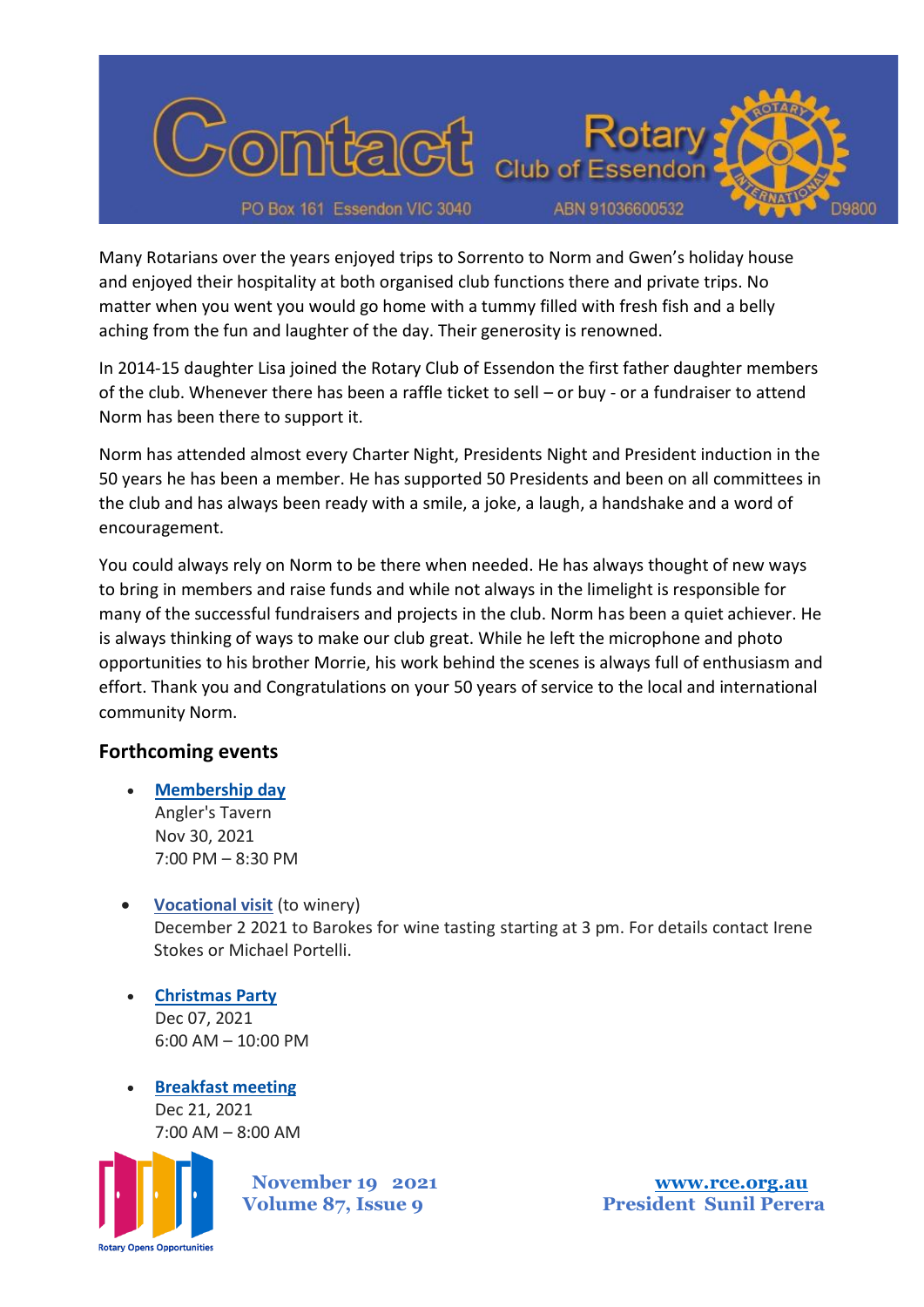

Many Rotarians over the years enjoyed trips to Sorrento to Norm and Gwen's holiday house and enjoyed their hospitality at both organised club functions there and private trips. No matter when you went you would go home with a tummy filled with fresh fish and a belly aching from the fun and laughter of the day. Their generosity is renowned.

In 2014-15 daughter Lisa joined the Rotary Club of Essendon the first father daughter members of the club. Whenever there has been a raffle ticket to sell – or buy - or a fundraiser to attend Norm has been there to support it.

Norm has attended almost every Charter Night, Presidents Night and President induction in the 50 years he has been a member. He has supported 50 Presidents and been on all committees in the club and has always been ready with a smile, a joke, a laugh, a handshake and a word of encouragement.

You could always rely on Norm to be there when needed. He has always thought of new ways to bring in members and raise funds and while not always in the limelight is responsible for many of the successful fundraisers and projects in the club. Norm has been a quiet achiever. He is always thinking of ways to make our club great. While he left the microphone and photo opportunities to his brother Morrie, his work behind the scenes is always full of enthusiasm and effort. Thank you and Congratulations on your 50 years of service to the local and international community Norm.

## **Forthcoming events**

- **[Membership day](http://portal.clubrunner.ca/6172/Event/membership-day)** Angler's Tavern Nov 30, 2021 7:00 PM – 8:30 PM
- **Vocational visit** (to winery) December 2 2021 to Barokes for wine tasting starting at 3 pm. For details contact Irene Stokes or Michael Portelli.
- **[Christmas Party](http://portal.clubrunner.ca/6172/Event/christmas-party-1)** Dec 07, 2021 6:00 AM – 10:00 PM
- **[Breakfast meeting](http://portal.clubrunner.ca/6172/Event/breakfast-meeting-3)** Dec 21, 2021 7:00 AM – 8:00 AM

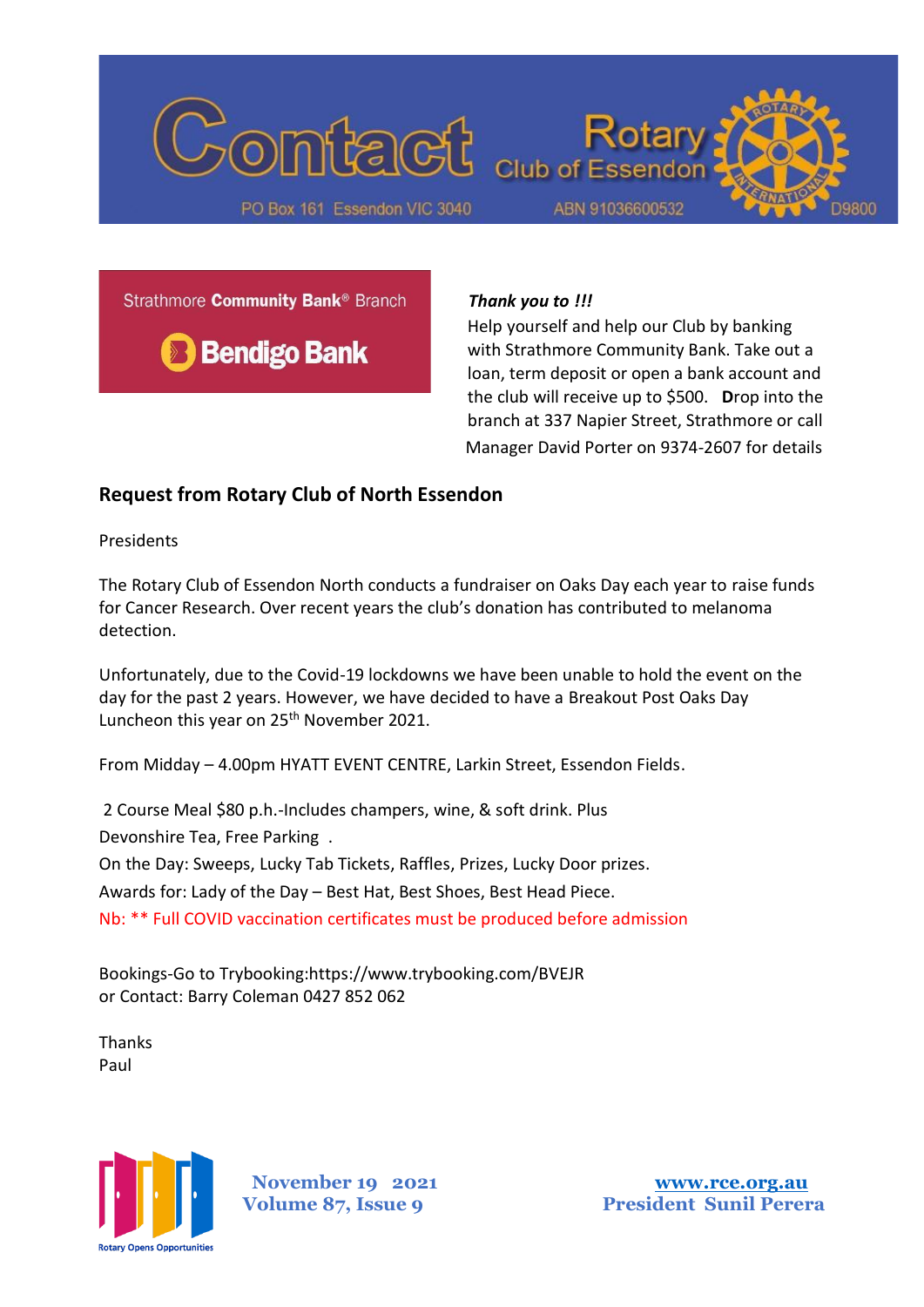

Strathmore Community Bank<sup>®</sup> Branch



#### *Thank you to !!!*

Help yourself and help our Club by banking with Strathmore Community Bank. Take out a loan, term deposit or open a bank account and the club will receive up to \$500. **D**rop into the branch at 337 Napier Street, Strathmore or call Manager David Porter on 9374-2607 for details

#### **Request from Rotary Club of North Essendon**

Presidents

The Rotary Club of Essendon North conducts a fundraiser on Oaks Day each year to raise funds for Cancer Research. Over recent years the club's donation has contributed to melanoma detection.

Unfortunately, due to the Covid-19 lockdowns we have been unable to hold the event on the day for the past 2 years. However, we have decided to have a Breakout Post Oaks Day Luncheon this year on 25<sup>th</sup> November 2021.

From Midday – 4.00pm HYATT EVENT CENTRE, Larkin Street, Essendon Fields.

2 Course Meal \$80 p.h.-Includes champers, wine, & soft drink. Plus Devonshire Tea, Free Parking .

On the Day: Sweeps, Lucky Tab Tickets, Raffles, Prizes, Lucky Door prizes.

Awards for: Lady of the Day – Best Hat, Best Shoes, Best Head Piece.

Nb: \*\* Full COVID vaccination certificates must be produced before admission

Bookings-Go to Trybooking:https://www.trybooking.com/BVEJR or Contact: Barry Coleman 0427 852 062

Thanks Paul



 **November 19 2021 [www.rce.org.au](http://www.rce.org.au/)**

**Volume 87, Issue 9 President Sunil Perera**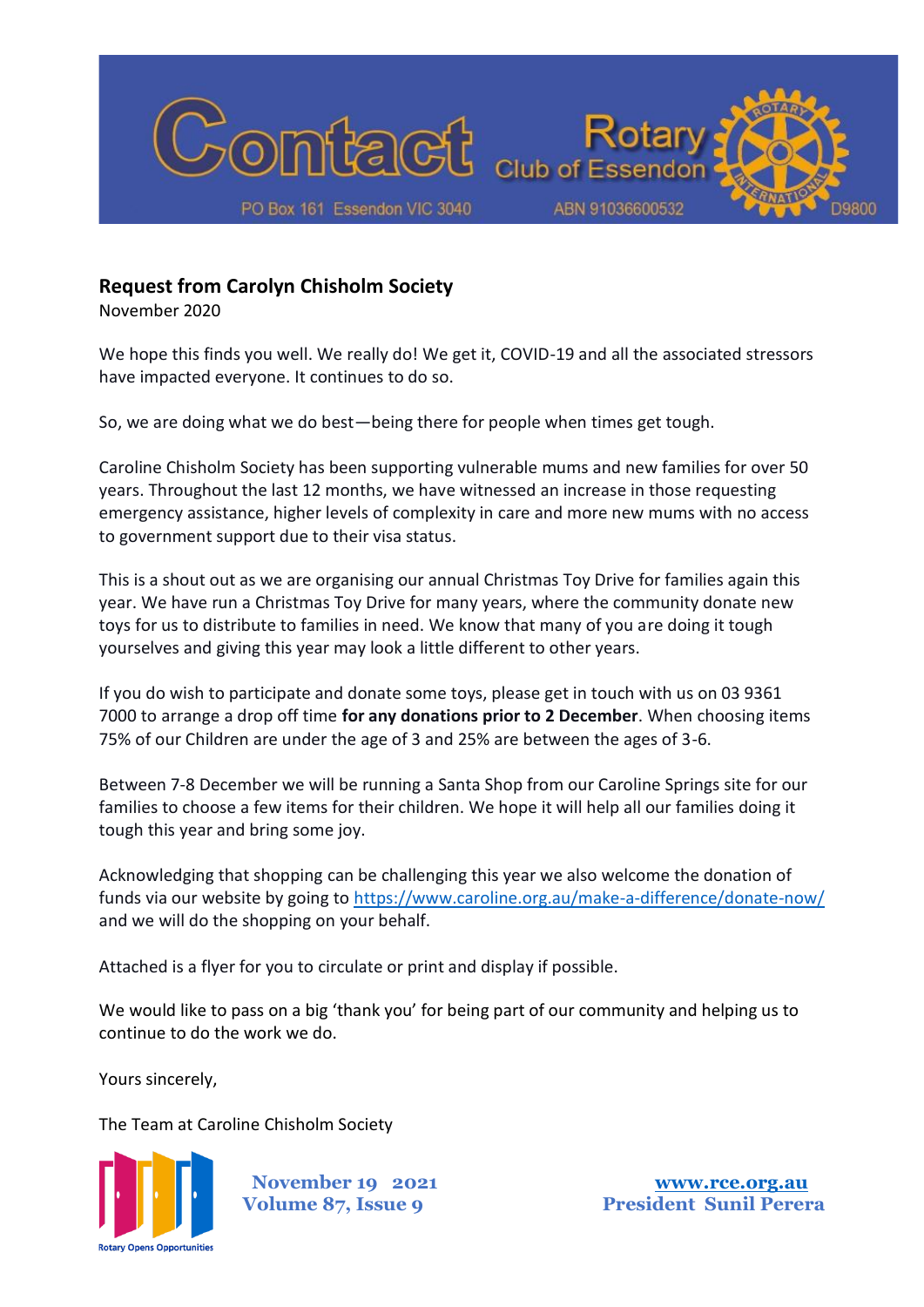

# **Request from Carolyn Chisholm Society**

November 2020

We hope this finds you well. We really do! We get it, COVID-19 and all the associated stressors have impacted everyone. It continues to do so.

So, we are doing what we do best—being there for people when times get tough.

Caroline Chisholm Society has been supporting vulnerable mums and new families for over 50 years. Throughout the last 12 months, we have witnessed an increase in those requesting emergency assistance, higher levels of complexity in care and more new mums with no access to government support due to their visa status.

This is a shout out as we are organising our annual Christmas Toy Drive for families again this year. We have run a Christmas Toy Drive for many years, where the community donate new toys for us to distribute to families in need. We know that many of you are doing it tough yourselves and giving this year may look a little different to other years.

If you do wish to participate and donate some toys, please get in touch with us on 03 9361 7000 to arrange a drop off time **for any donations prior to 2 December**. When choosing items 75% of our Children are under the age of 3 and 25% are between the ages of 3-6.

Between 7-8 December we will be running a Santa Shop from our Caroline Springs site for our families to choose a few items for their children. We hope it will help all our families doing it tough this year and bring some joy.

Acknowledging that shopping can be challenging this year we also welcome the donation of funds via our website by going to<https://www.caroline.org.au/make-a-difference/donate-now/> and we will do the shopping on your behalf.

Attached is a flyer for you to circulate or print and display if possible.

We would like to pass on a big 'thank you' for being part of our community and helping us to continue to do the work we do.

Yours sincerely,

The Team at Caroline Chisholm Society

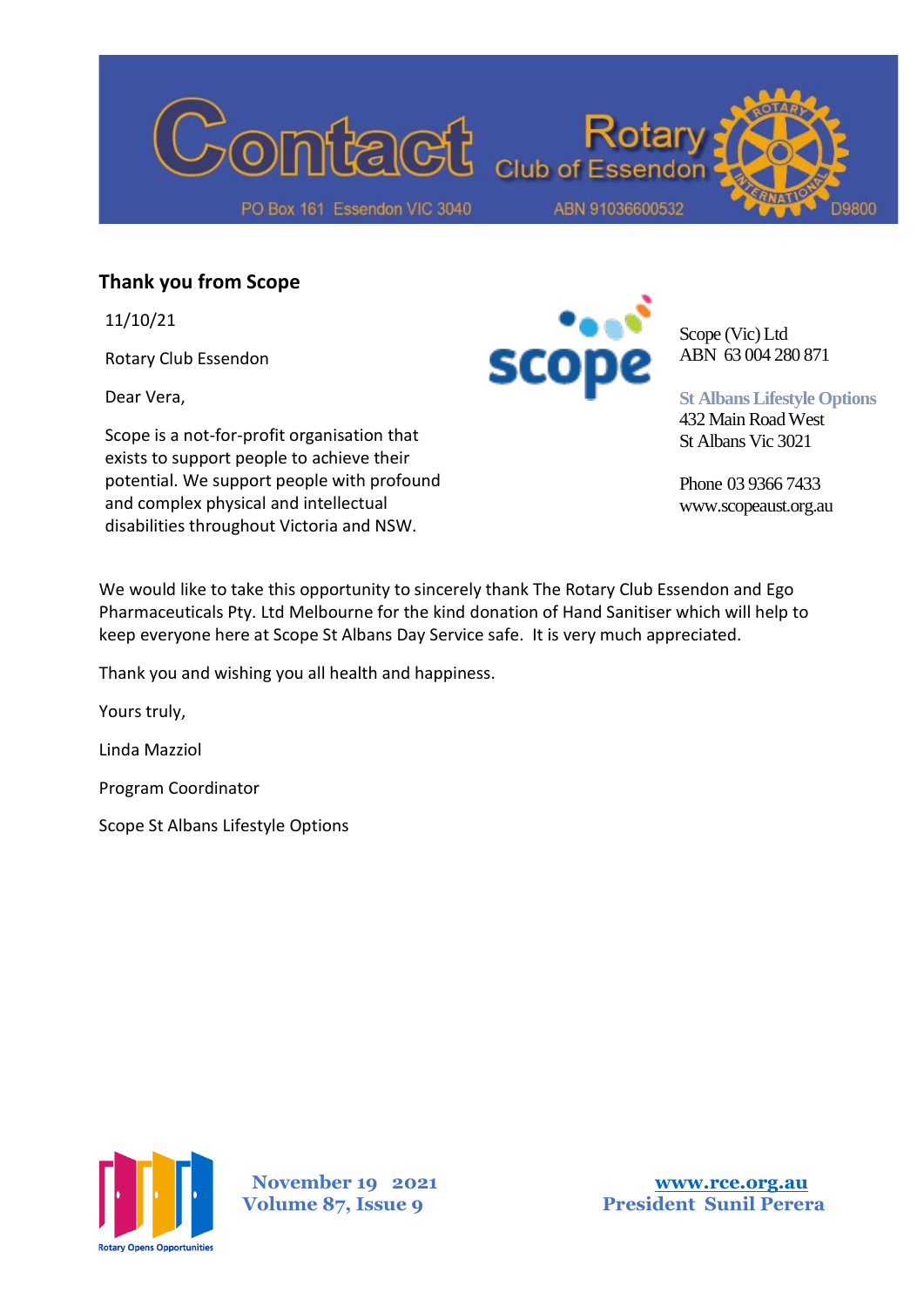

### **Thank you from Scope**

11/10/21

Rotary Club Essendon

Dear Vera,

Scope is a not-for-profit organisation that exists to support people to achieve their potential. We support people with profound and complex physical and intellectual disabilities throughout Victoria and NSW.



Scope (Vic) Ltd ABN 63 004 280 871

**St Albans Lifestyle Options** 432 Main Road West

St Albans Vic 3021

Phone 03 9366 7433 www.scopeaust.org.au

We would like to take this opportunity to sincerely thank The Rotary Club Essendon and Ego Pharmaceuticals Pty. Ltd Melbourne for the kind donation of Hand Sanitiser which will help to keep everyone here at Scope St Albans Day Service safe. It is very much appreciated.

Thank you and wishing you all health and happiness.

Yours truly,

Linda Mazziol

Program Coordinator

Scope St Albans Lifestyle Options



 **November 19 2021 [www.rce.org.au](http://www.rce.org.au/)**

**Volume 87, Issue 9 President Sunil Perera**